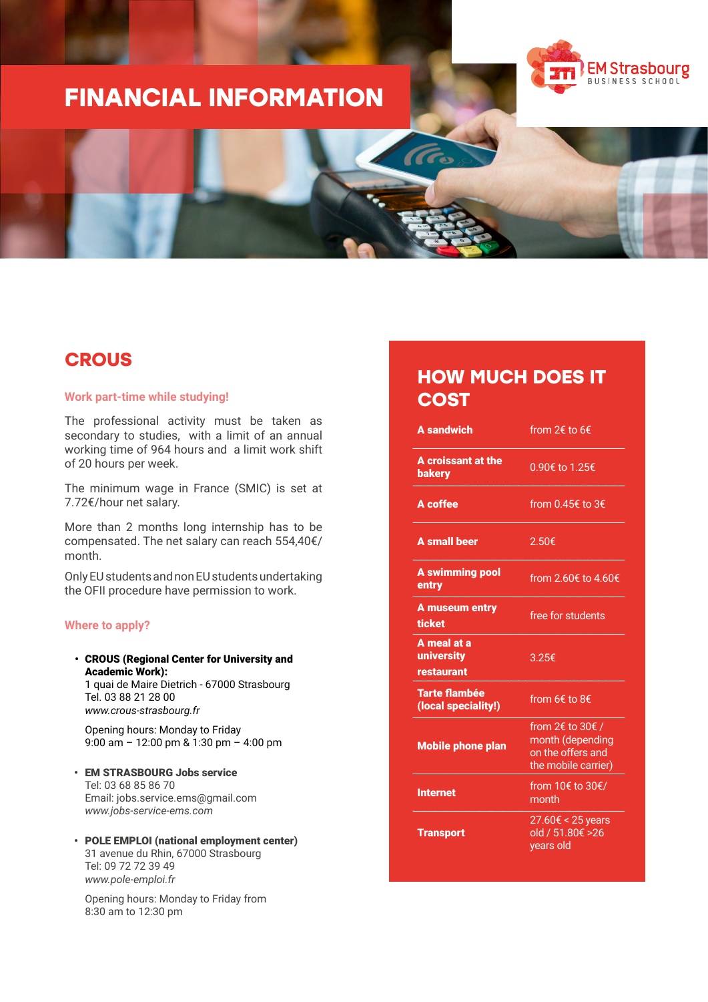# **FINANCIAL INFORMATION**





### **CROUS**

#### **Work part-time while studying!**

The professional activity must be taken as secondary to studies, with a limit of an annual working time of 964 hours and a limit work shift of 20 hours per week.

The minimum wage in France (SMIC) is set at 7.72€/hour net salary.

More than 2 months long internship has to be compensated. The net salary can reach 554,40€/ month.

Only EU students and non EU students undertaking the OFII procedure have permission to work.

#### **Where to apply?**

• CROUS (Regional Center for University and Academic Work): 1 quai de Maire Dietrich - 67000 Strasbourg

Tel. 03 88 21 28 00 *www.crous-strasbourg.fr*

Opening hours: Monday to Friday 9:00 am – 12:00 pm & 1:30 pm – 4:00 pm

• EM STRASBOURG Jobs service Tel: 03 68 85 86 70 Email: jobs.service.ems@gmail.com *www.jobs-service-ems.com*

#### • POLE EMPLOI (national employment center) 31 avenue du Rhin, 67000 Strasbourg Tel: 09 72 72 39 49 *www.pole-emploi.fr*

Opening hours: Monday to Friday from 8:30 am to 12:30 pm

### **HOW MUCH DOES IT COST**

| <b>A</b> sandwich                              | from 2€ to 6€                                                                                        |
|------------------------------------------------|------------------------------------------------------------------------------------------------------|
| A croissant at the<br><b>bakery</b>            | 0.90€ to 1.25€                                                                                       |
| A coffee                                       | from 0.45€ to 3€                                                                                     |
| <b>A</b> small beer                            | 2.50€                                                                                                |
| <b>A swimming pool</b><br>entry                | from 2.60€ to 4.60€                                                                                  |
| <b>A museum entry</b><br>ticket                | free for students                                                                                    |
| A meal at a<br>university<br><b>restaurant</b> | 3.25€                                                                                                |
| <b>Tarte flambée</b><br>(local speciality!)    | from $6 \notin \text{to } 8 \notin$                                                                  |
| <b>Mobile phone plan</b>                       | from $2 \epsilon$ to $30 \epsilon$ /<br>month (depending<br>on the offers and<br>the mobile carrier) |
| <b>Internet</b>                                | from 10€ to 30€/<br>month                                                                            |
| <b>Transport</b>                               | 27.60€ < 25 years<br>old / 51.80€ >26<br>years old                                                   |